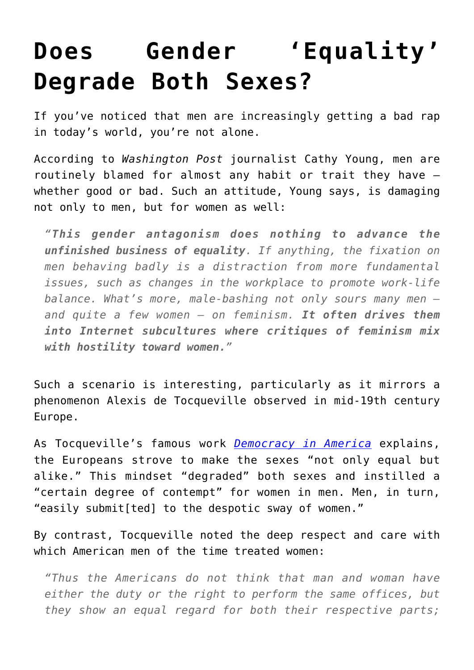## **[Does Gender 'Equality'](https://intellectualtakeout.org/2016/07/does-gender-equality-degrade-both-sexes/) [Degrade Both Sexes?](https://intellectualtakeout.org/2016/07/does-gender-equality-degrade-both-sexes/)**

If you've noticed that men are increasingly getting a bad rap in today's world, you're not alone.

According to *Washington Post* journalist Cathy Young, men are routinely blamed for almost any habit or trait they have – whether good or bad. Such an attitude, Young says, is damaging not only to men, but for women as well:

*"This gender antagonism does nothing to advance the unfinished business of equality. If anything, the fixation on men behaving badly is a distraction from more fundamental issues, such as changes in the workplace to promote work-life balance. What's more, male-bashing not only sours many men and quite a few women — on feminism. It often drives them into Internet subcultures where critiques of feminism mix with hostility toward women."* 

Such a scenario is interesting, particularly as it mirrors a phenomenon Alexis de Tocqueville observed in mid-19th century Europe.

As Tocqueville's famous work *[Democracy in America](https://www.amazon.com/gp/product/0226805360/ref=as_li_qf_sp_asin_il_tl?ie=UTF8&tag=intelltakeo0d-20&camp=1789&creative=9325&linkCode=as2&creativeASIN=0226805360&linkId=c28d716f162e32d50aa1690448d86771)* explains, the Europeans strove to make the sexes "not only equal but alike." This mindset "degraded" both sexes and instilled a "certain degree of contempt" for women in men. Men, in turn, "easily submit[ted] to the despotic sway of women."

By contrast, Tocqueville noted the deep respect and care with which American men of the time treated women:

*"Thus the Americans do not think that man and woman have either the duty or the right to perform the same offices, but they show an equal regard for both their respective parts;*